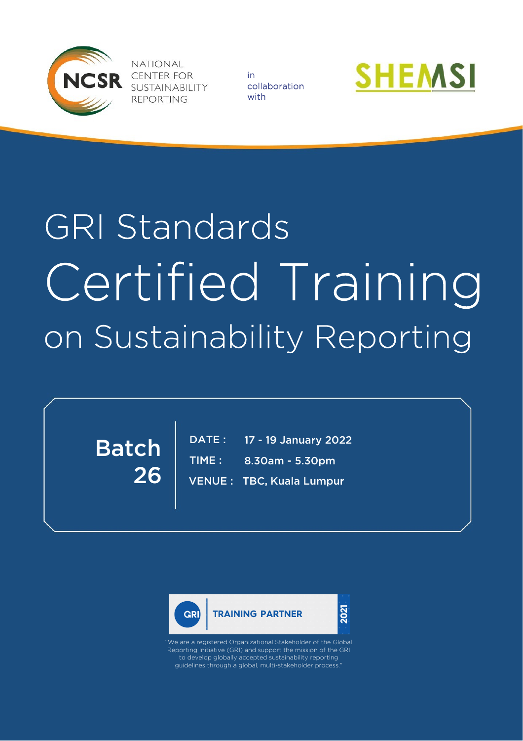

**NATIONAL CENTER FOR** SUSTAINABILITY **REPORTING** 

in collaboration with



# **GRI Standards** Certified Training on Sustainability Reporting

26 Batch

TIME : VENU E : TBC, Kuala Lumpur 17 - 19 January 20 22 8.30am - 5.30pm DATE :





We are a registered Organizational Stakeholder of the Global Reporting Initiative (GRI) and support the mission of the GRI to develop globally accepted sustainability reporting guidelines through a global, multi -stakeholder process.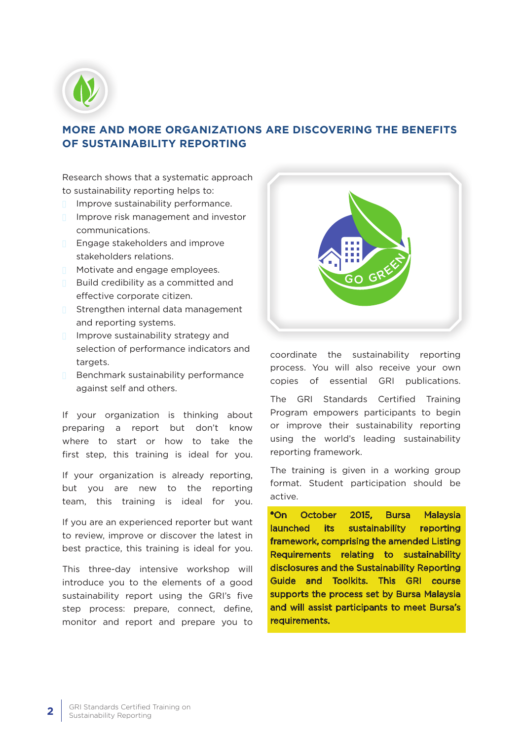

## **MORE AND MORE ORGANIZATIONS ARE DISCOVERING THE BENEFITS OF SUSTAINABILITY REPORTING**

Research shows that a systematic approach to sustainability reporting helps to:

- n Improve sustainability performance.
- **n** Improve risk management and investor communications.
- n Engage stakeholders and improve stakeholders relations.
- n Motivate and engage employees.
- **n** Build credibility as a committed and effective corporate citizen.
- n Strengthen internal data management and reporting systems.
- n Improve sustainability strategy and selection of performance indicators and targets.
- n Benchmark sustainability performance against self and others.

If your organization is thinking about preparing a report but don't know where to start or how to take the first step, this training is ideal for you.

If your organization is already reporting, but you are new to the reporting team, this training is ideal for you.

If you are an experienced reporter but want to review, improve or discover the latest in best practice, this training is ideal for you.

This three-day intensive workshop will introduce you to the elements of a good sustainability report using the GRI's five step process: prepare, connect, define, monitor and report and prepare you to



coordinate the sustainability reporting process. You will also receive your own copies of essential GRI publications.

The GRI Standards Certified Training Program empowers participants to begin or improve their sustainability reporting using the world's leading sustainability reporting framework.

The training is given in a working group format. Student participation should be active.

\*On October 2015, Bursa Malaysia launched its sustainability reporting framework, comprising the amended Listing Requirements relating to sustainability disclosures and the Sustainability Reporting Guide and Toolkits. This GRI course supports the process set by Bursa Malaysia and will assist participants to meet Bursa's requirements.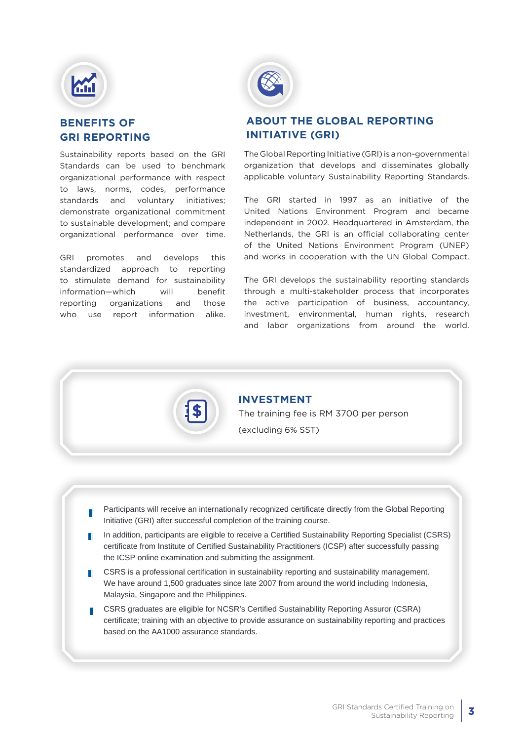

### **BENEFITS OF GRI REPORTING**

Sustainability reports based on the GRI Standards can be used to benchmark organizational performance with respect to laws, norms, codes, performance standards and voluntary initiatives; demonstrate organizational commitment to sustainable development; and compare organizational performance over time.

GRI promotes and develops this standardized approach to reporting to stimulate demand for sustainability information—which will benefit reporting organizations and those who use report information alike.



#### **ABOUT THE GLOBAL REPORTING INITIATIVE (GRI)**

The Global Reporting Initiative (GRI) is a non-governmental organization that develops and disseminates globally applicable voluntary Sustainability Reporting Standards.

The GRI started in 1997 as an initiative of the United Nations Environment Program and became independent in 2002. Headquartered in Amsterdam, the Netherlands, the GRI is an official collaborating center of the United Nations Environment Program (UNEP) and works in cooperation with the UN Global Compact.

The GRI develops the sustainability reporting standards through a multi-stakeholder process that incorporates the active participation of business, accountancy, investment, environmental, human rights, research and labor organizations from around the world.



# **INVESTMENT**

The training fee is RM 3700 per person (excluding 6% SST)

- n Participants will receive an internationally recognized certificate directly from the Global Reporting Initiative (GRI) after successful completion of the training course.
- n In addition, participants are eligible to receive a Certified Sustainability Reporting Specialist (CSRS) certificate from Institute of Certified Sustainability Practitioners (ICSP) after successfully passing the ICSP online examination and submitting the assignment.
- n CSRS is a professional certification in sustainability reporting and sustainability management. We have around 1,500 graduates since late 2007 from around the world including Indonesia. Malaysia, Singapore and the Philippines.
- n CSRS graduates are eligible for NCSR's Certified Sustainability Reporting Assuror (CSRA) certificate; training with an objective to provide assurance on sustainability reporting and practices based on the AA1000 assurance standards.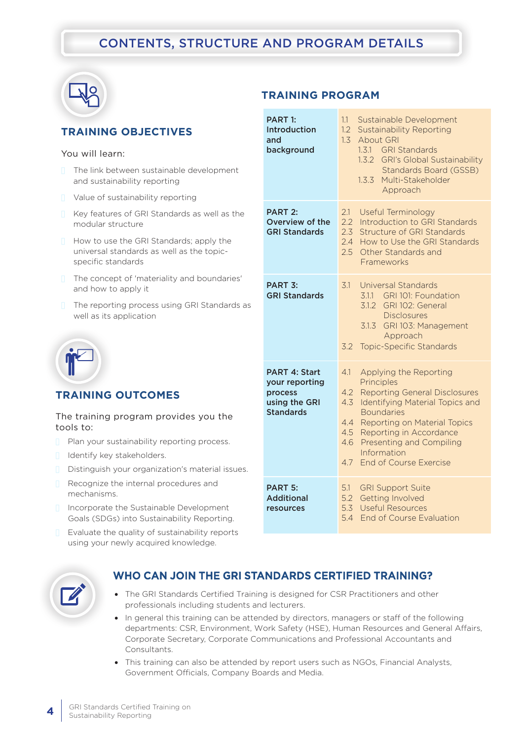# CONTENTS, STRUCTURE AND PROGRAM DETAILS

**TRAINING PROGRAM**



### **TRAINING OBJECTIVES**

#### You will learn:

- $n =$ The link between sustainable development and sustainability reporting
- $\Box$  Value of sustainability reporting
- $\Box$  Key features of GRI Standards as well as the modular structure
- **n** How to use the GRI Standards; apply the universal standards as well as the topicspecific standards
- $\Box$  The concept of 'materiality and boundaries' and how to apply it
- $\Box$  The reporting process using GRI Standards as well as its application



#### **TRAINING OUTCOMES**

#### The training program provides you the tools to:

- $\Box$  Plan your sustainability reporting process.
- **n** Identify key stakeholders.
- Distinguish your organization's material issues.
- $\Box$  Recognize the internal procedures and mechanisms.
- n Incorporate the Sustainable Development Goals (SDGs) into Sustainability Reporting.
- $\Box$  Evaluate the quality of sustainability reports using your newly acquired knowledge.

| <b>PART 1:</b><br>Introduction<br>and<br>background                                    | 1.1<br>Sustainable Development<br>1.2<br><b>Sustainability Reporting</b><br>1.3<br><b>About GRI</b><br>1.3.1 GRI Standards<br>1.3.2 GRI's Global Sustainability<br>Standards Board (GSSB)<br>1.3.3<br>Multi-Stakeholder<br>Approach                                                                                                                  |
|----------------------------------------------------------------------------------------|------------------------------------------------------------------------------------------------------------------------------------------------------------------------------------------------------------------------------------------------------------------------------------------------------------------------------------------------------|
| <b>PART 2:</b><br>Overview of the<br><b>GRI Standards</b>                              | Useful Terminology<br>2.1<br>2.2<br>Introduction to GRI Standards<br>2.3<br>Structure of GRI Standards<br>2.4<br>How to Use the GRI Standards<br>2.5<br>Other Standards and<br>Frameworks                                                                                                                                                            |
| PART <sub>3</sub> :<br><b>GRI Standards</b>                                            | 3.1<br>Universal Standards<br>3.1.1 GRI 101: Foundation<br>3.1.2<br>GRI 102: General<br><b>Disclosures</b><br>3.1.3 GRI 103: Management<br>Approach<br><b>Topic-Specific Standards</b><br>3.2                                                                                                                                                        |
| <b>PART 4: Start</b><br>your reporting<br>process<br>using the GRI<br><b>Standards</b> | 4.1<br>Applying the Reporting<br>Principles<br>4.2<br><b>Reporting General Disclosures</b><br>4.3<br><b>Identifying Material Topics and</b><br><b>Boundaries</b><br>Reporting on Material Topics<br>$4.4^{\circ}$<br>4.5<br>Reporting in Accordance<br><b>Presenting and Compiling</b><br>4.6<br>Information<br><b>End of Course Exercise</b><br>4.7 |
| <b>PART 5:</b><br><b>Additional</b><br>resources                                       | <b>GRI Support Suite</b><br>5.1<br>5.2<br><b>Getting Involved</b><br>5.3<br><b>Useful Resources</b><br>5.4<br><b>End of Course Evaluation</b>                                                                                                                                                                                                        |



#### WHO CAN JOIN THE GRI STANDARDS CERTIFIED TRAINING?

- The GRI Standards Certified Training is designed for CSR Practitioners and other professionals including students and lecturers.
- In general this training can be attended by directors, managers or staff of the following departments: CSR, Environment, Work Safety (HSE), Human Resources and General Affairs, Corporate Secretary, Corporate Communications and Professional Accountants and Consultants.
- This training can also be attended by report users such as NGOs, Financial Analysts, Government Officials, Company Boards and Media.